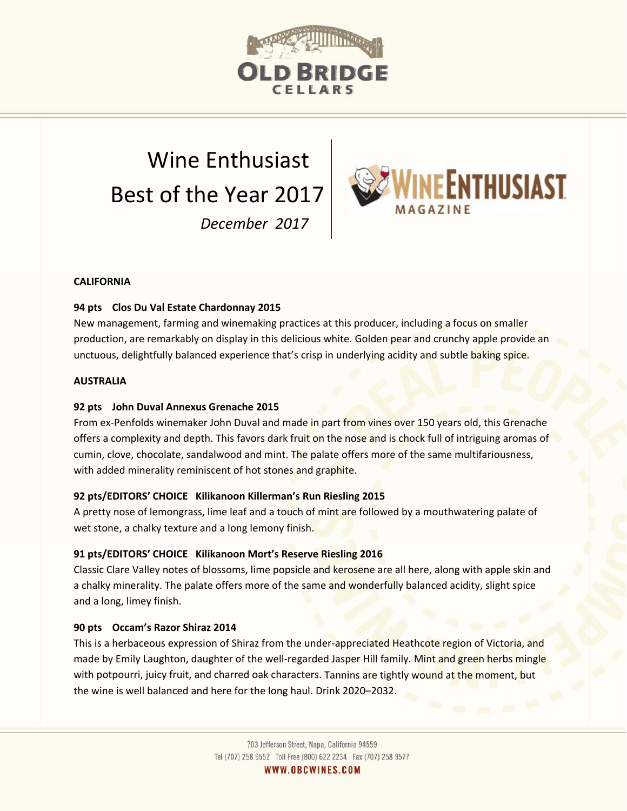

# Wine Enthusiast Best of the Year 2017 *December 2017*



# **CALIFORNIA**

# **94 pts Clos Du Val Estate Chardonnay 2015**

New management, farming and winemaking practices at this producer, including a focus on smaller production, are remarkably on display in this delicious white. Golden pear and crunchy apple provide an unctuous, delightfully balanced experience that's crisp in underlying acidity and subtle baking spice.

#### **AUSTRALIA**

# **92 pts John Duval Annexus Grenache 2015**

From ex-Penfolds winemaker John Duval and made in part from vines over 150 years old, this Grenache offers a complexity and depth. This favors dark fruit on the nose and is chock full of intriguing aromas of cumin, clove, chocolate, sandalwood and mint. The palate offers more of the same multifariousness, with added minerality reminiscent of hot stones and graphite.

# **92 pts/EDITORS' CHOICE Kilikanoon Killerman's Run Riesling 2015**

A pretty nose of lemongrass, lime leaf and a touch of mint are followed by a mouthwatering palate of wet stone, a chalky texture and a long lemony finish.

# **91 pts/EDITORS' CHOICE Kilikanoon Mort's Reserve Riesling 2016**

Classic Clare Valley notes of blossoms, lime popsicle and kerosene are all here, along with apple skin and a chalky minerality. The palate offers more of the same and wonderfully balanced acidity, slight spice and a long, limey finish.

#### **90 pts Occam's Razor Shiraz 2014**

This is a herbaceous expression of Shiraz from the under-appreciated Heathcote region of Victoria, and made by Emily Laughton, daughter of the well-regarded Jasper Hill family. Mint and green herbs mingle with potpourri, juicy fruit, and charred oak characters. Tannins are tightly wound at the moment, but the wine is well balanced and here for the long haul. Drink 2020–2032.

WWW.OBCWINES.COM